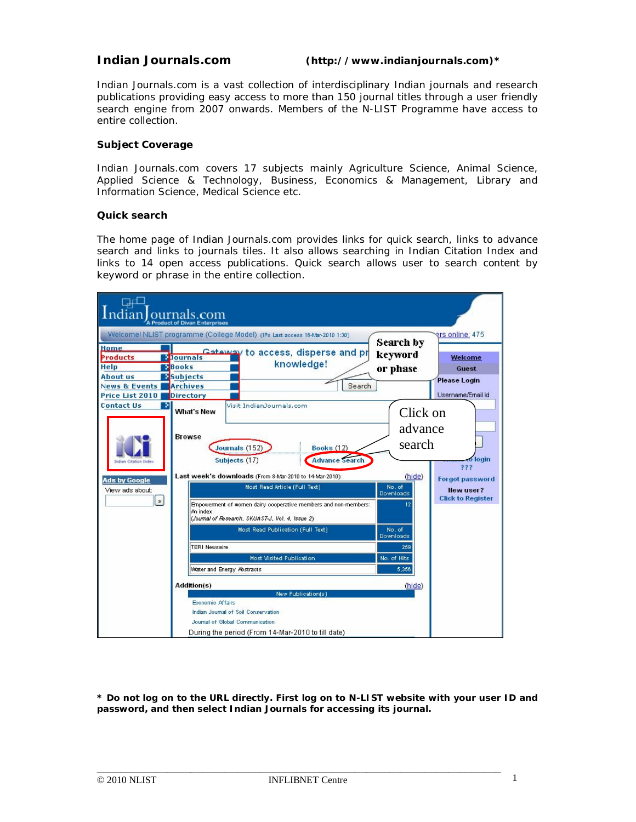## **Indian Journals.com (http://www.indianjournals.com)\***

Indian Journals.com is a vast collection of interdisciplinary Indian journals and research publications providing easy access to more than 150 journal titles through a user friendly search engine from 2007 onwards. Members of the N-LIST Programme have access to entire collection.

## **Subject Coverage**

Indian Journals.com covers 17 subjects mainly Agriculture Science, Animal Science, Applied Science & Technology, Business, Economics & Management, Library and Information Science, Medical Science etc.

#### **Quick search**

The home page of Indian Journals.com provides links for quick search, links to advance search and links to journals tiles. It also allows searching in Indian Citation Index and links to 14 open access publications. Quick search allows user to search content by keyword or phrase in the entire collection.

| ᆛ<br>dian ournals.com                                                                                                                         |                                                                                                                                                                                                                                                                                                                                                                                                                                                                                                                                                                                                 |                                                                                                                                      |                                                                                                             |  |  |  |  |
|-----------------------------------------------------------------------------------------------------------------------------------------------|-------------------------------------------------------------------------------------------------------------------------------------------------------------------------------------------------------------------------------------------------------------------------------------------------------------------------------------------------------------------------------------------------------------------------------------------------------------------------------------------------------------------------------------------------------------------------------------------------|--------------------------------------------------------------------------------------------------------------------------------------|-------------------------------------------------------------------------------------------------------------|--|--|--|--|
|                                                                                                                                               | Welcome! NLIST programme (College Model) (IPs Last access 16-Mar-2010 1:30)                                                                                                                                                                                                                                                                                                                                                                                                                                                                                                                     | Search by                                                                                                                            | ers online: 475                                                                                             |  |  |  |  |
| <b>Home</b><br>Products<br><b>Help</b><br><b>About us</b>                                                                                     | Cateway to access, disperse and pr<br><b>E</b> Journals<br>knowledge!<br><b>Books</b><br>Subjects                                                                                                                                                                                                                                                                                                                                                                                                                                                                                               | keyword<br>or phase                                                                                                                  | <b>Welcome</b><br>Guest<br><b>Please Login</b>                                                              |  |  |  |  |
| <b>News &amp; Events</b>                                                                                                                      | <b>Archives</b>                                                                                                                                                                                                                                                                                                                                                                                                                                                                                                                                                                                 | Search                                                                                                                               |                                                                                                             |  |  |  |  |
| Price List 2010<br><b>Contact Us</b><br>P.<br><b>Indian Citation Inde</b><br><b>Ads by Google</b><br>View ads about:<br>$\vert \cdot \rangle$ | <b>Directory</b><br>Visit IndianJournals.com<br><b>What's New</b><br><b>Browse</b><br>Journals (152)<br><b>Books (12)</b><br><b>Advance Search</b><br>Subjects (17)<br>Last week's downloads (From 8-Mar-2010 to 14-Mar-2010)<br>Most Read Article (Full Text)<br>Empowerment of women dairy cooperative members and non-members:<br>An index<br>(Journal of Research, SKUAST-J, Vol. 4, Issue 2)<br>Most Read Publication (Full Text)<br><b>TERI Newswire</b><br>Most Visited Publication<br>Water and Energy Abstracts<br><b>Addition(s)</b><br>New Publication(s)<br><b>Economic Affairs</b> | Click on<br>advance<br>search<br>(hide)<br>No. of<br>Downloads<br>12<br>No. of<br>Downloads<br>259<br>No. of Hits<br>5,356<br>(hide) | Username/Email id<br><b>Jogin</b><br>222<br><b>Forgot password</b><br>New user?<br><b>Click to Register</b> |  |  |  |  |
|                                                                                                                                               | Indian Journal of Soil Conservation<br>Journal of Global Communication<br>During the period (From 14-Mar-2010 to till date)                                                                                                                                                                                                                                                                                                                                                                                                                                                                     |                                                                                                                                      |                                                                                                             |  |  |  |  |

*\* Do not log on to the URL directly. First log on to N-LIST website with your user ID and password, and then select Indian Journals for accessing its journal.*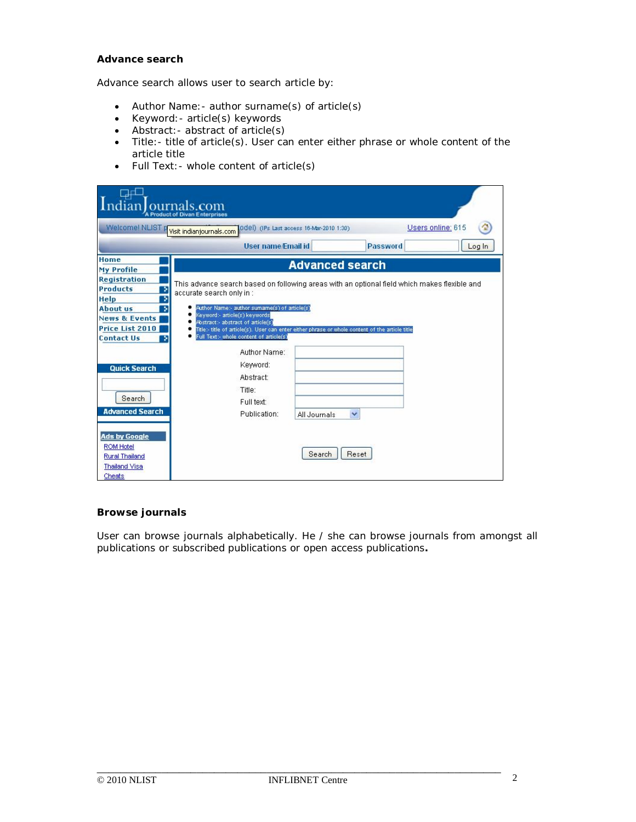# **Advance search**

Advance search allows user to search article by:

- Author Name:- author surname(s) of article(s)
- Keyword:- article(s) keywords
- Abstract: abstract of article(s)
- Title:- title of article(s). User can enter either phrase or whole content of the article title
- Full Text: whole content of article(s)

| J El<br>ndian ournals.com<br>A Product of Divan Enterprises                                                |                                                                                                                                                                                                                                                                                                                                                                                                    |              |                 |        |  |  |  |  |
|------------------------------------------------------------------------------------------------------------|----------------------------------------------------------------------------------------------------------------------------------------------------------------------------------------------------------------------------------------------------------------------------------------------------------------------------------------------------------------------------------------------------|--------------|-----------------|--------|--|--|--|--|
| Welcome! NLIST prisit indianjournals.com<br>Users online: 615<br>Odel) (IPs Last access 16-Mar-2010 1:30)  |                                                                                                                                                                                                                                                                                                                                                                                                    |              |                 |        |  |  |  |  |
|                                                                                                            | <b>User name/Email id</b>                                                                                                                                                                                                                                                                                                                                                                          |              | <b>Password</b> | Log In |  |  |  |  |
| Home<br>My Profile                                                                                         | <b>Advanced search</b>                                                                                                                                                                                                                                                                                                                                                                             |              |                 |        |  |  |  |  |
| <b>Registration</b><br><b>Products</b><br>э                                                                | This advance search based on following areas with an optional field which makes flexible and<br>accurate search only in :<br>Author Name:- author sumame(s) of article(s)<br>Keyword:- article(s) keywords<br>Abstract:- abstract of article(s)<br>Title:- title of article(s). User can enter either phrase or whole content of the article title<br>٠<br>Full Text:- whole content of article(s) |              |                 |        |  |  |  |  |
| Help<br>У<br><b>About us</b><br>2<br><b>News &amp; Events</b><br>Price List 2010<br><b>Contact Us</b><br>х |                                                                                                                                                                                                                                                                                                                                                                                                    |              |                 |        |  |  |  |  |
| <b>Quick Search</b><br>Search<br><b>Advanced Search</b>                                                    | Author Name:<br>Keyword:<br><b>Abstract:</b><br>Title:<br>Full text:<br>Publication:                                                                                                                                                                                                                                                                                                               | All Journals | ×               |        |  |  |  |  |
| <b>Ads by Google</b><br><b>ROM Hotel</b><br><b>Rural Thailand</b><br><b>Thailand Visa</b><br>Cheats        |                                                                                                                                                                                                                                                                                                                                                                                                    | Search       | Reset           |        |  |  |  |  |

# **Browse journals**

User can browse journals alphabetically. He / she can browse journals from amongst all publications or subscribed publications or open access publications**.**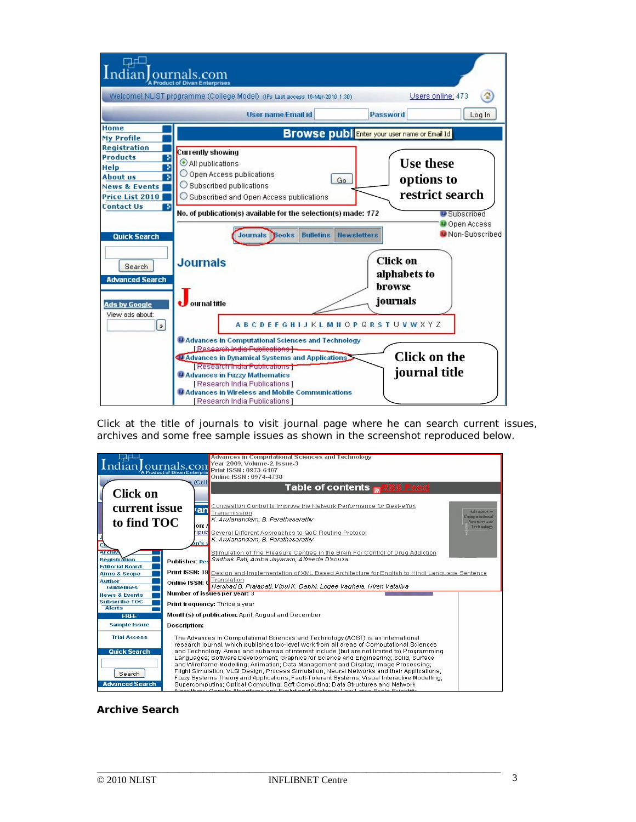

Click at the title of journals to visit journal page where he can search current issues, archives and some free sample issues as shown in the screenshot reproduced below.



# **Archive Search**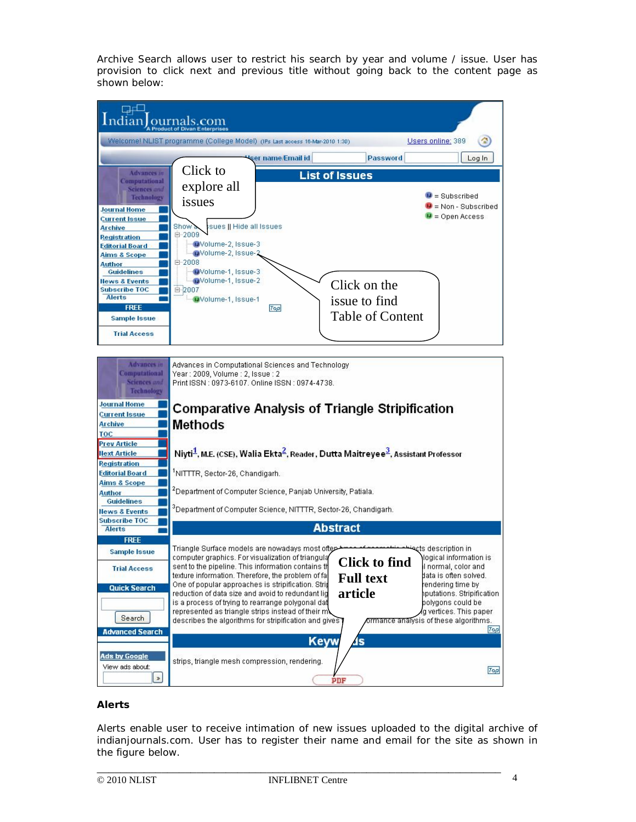Archive Search allows user to restrict his search by year and volume / issue. User has provision to click next and previous title without going back to the content page as shown below:



# **Alerts**

Alerts enable user to receive intimation of new issues uploaded to the digital archive of indianjournals.com. User has to register their name and email for the site as shown in the figure below.